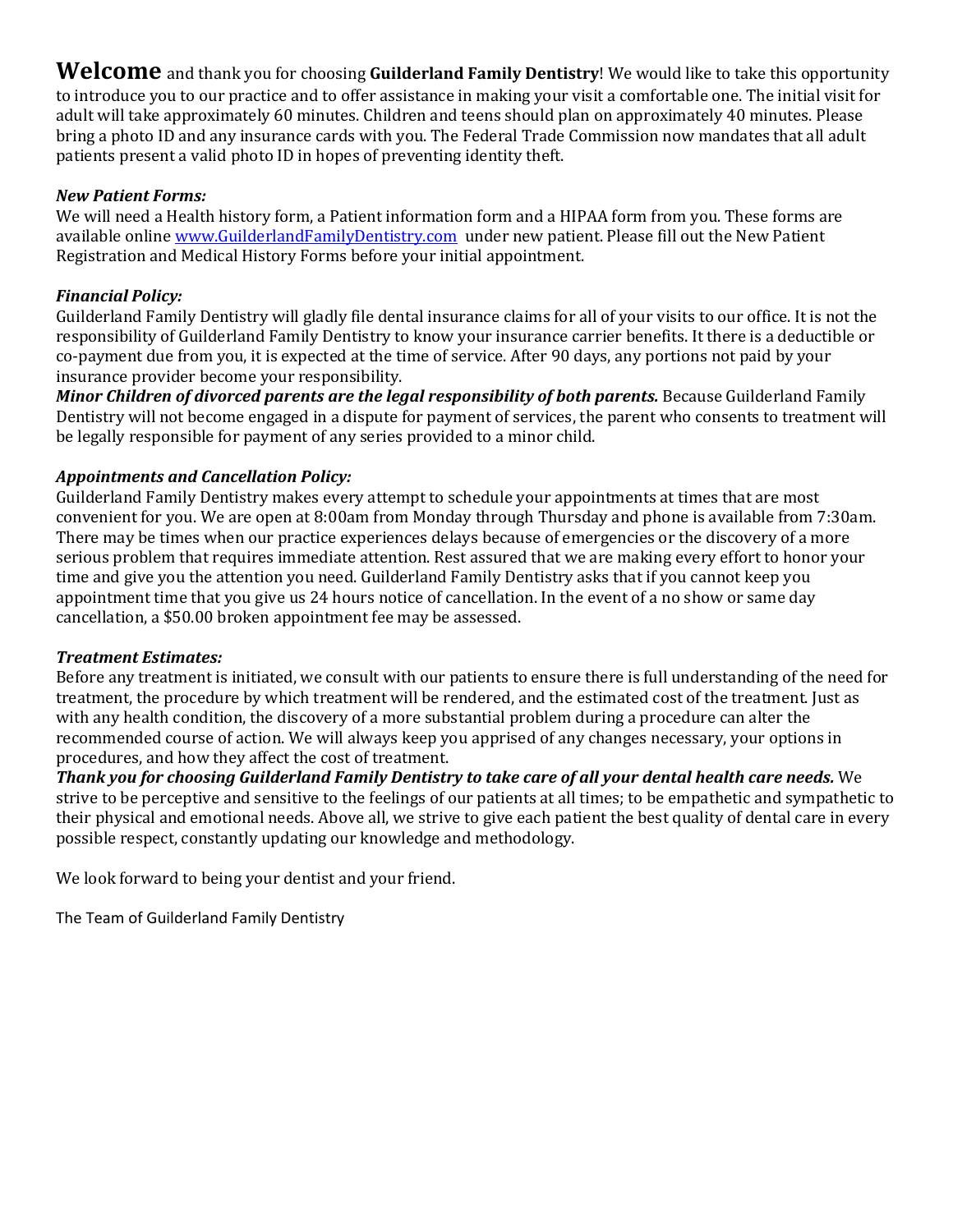**Welcome** and thank you for choosing **Guilderland Family Dentistry**! We would like to take this opportunity to introduce you to our practice and to offer assistance in making your visit a comfortable one. The initial visit for adult will take approximately 60 minutes. Children and teens should plan on approximately 40 minutes. Please bring a photo ID and any insurance cards with you. The Federal Trade Commission now mandates that all adult patients present a valid photo ID in hopes of preventing identity theft.

## *New Patient Forms:*

We will need a Health history form, a Patient information form and a HIPAA form from you. These forms are available online [www.GuilderlandFamilyDentistry.com](http://www.guilderlandfamilydentistry.com/) under new patient. Please fill out the New Patient Registration and Medical History Forms before your initial appointment.

## *Financial Policy:*

Guilderland Family Dentistry will gladly file dental insurance claims for all of your visits to our office. It is not the responsibility of Guilderland Family Dentistry to know your insurance carrier benefits. It there is a deductible or co-payment due from you, it is expected at the time of service. After 90 days, any portions not paid by your insurance provider become your responsibility.

*Minor Children of divorced parents are the legal responsibility of both parents.* Because Guilderland Family Dentistry will not become engaged in a dispute for payment of services, the parent who consents to treatment will be legally responsible for payment of any series provided to a minor child.

## *Appointments and Cancellation Policy:*

Guilderland Family Dentistry makes every attempt to schedule your appointments at times that are most convenient for you. We are open at 8:00am from Monday through Thursday and phone is available from 7:30am. There may be times when our practice experiences delays because of emergencies or the discovery of a more serious problem that requires immediate attention. Rest assured that we are making every effort to honor your time and give you the attention you need. Guilderland Family Dentistry asks that if you cannot keep you appointment time that you give us 24 hours notice of cancellation. In the event of a no show or same day cancellation, a \$50.00 broken appointment fee may be assessed.

#### *Treatment Estimates:*

Before any treatment is initiated, we consult with our patients to ensure there is full understanding of the need for treatment, the procedure by which treatment will be rendered, and the estimated cost of the treatment. Just as with any health condition, the discovery of a more substantial problem during a procedure can alter the recommended course of action. We will always keep you apprised of any changes necessary, your options in procedures, and how they affect the cost of treatment.

*Thank you for choosing Guilderland Family Dentistry to take care of all your dental health care needs.* We strive to be perceptive and sensitive to the feelings of our patients at all times; to be empathetic and sympathetic to their physical and emotional needs. Above all, we strive to give each patient the best quality of dental care in every possible respect, constantly updating our knowledge and methodology.

We look forward to being your dentist and your friend.

The Team of Guilderland Family Dentistry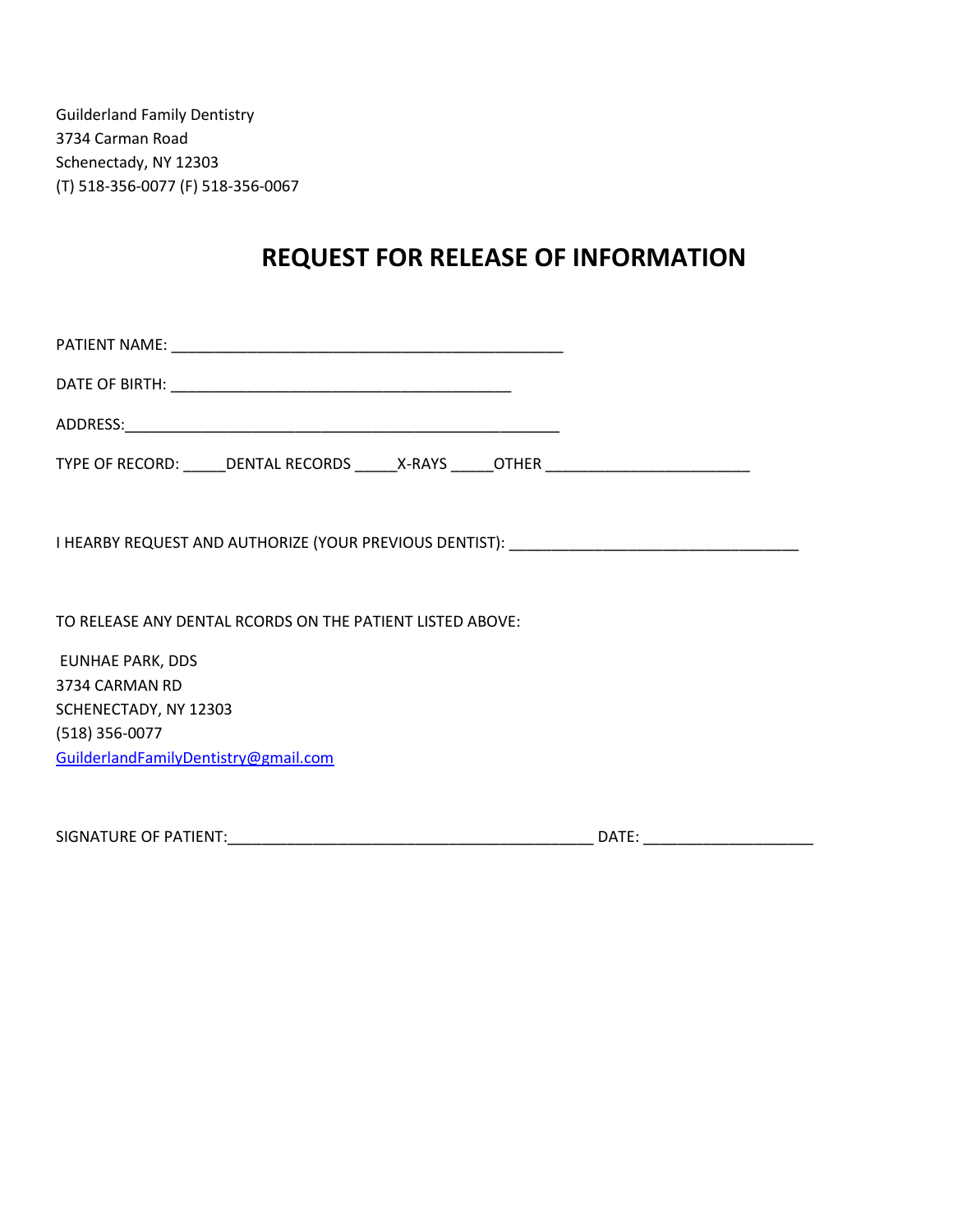Guilderland Family Dentistry 3734 Carman Road Schenectady, NY 12303 (T) 518-356-0077 (F) 518-356-0067

# **REQUEST FOR RELEASE OF INFORMATION**

| TYPE OF RECORD: ______DENTAL RECORDS ______X-RAYS ______OTHER ___________________ |  |
|-----------------------------------------------------------------------------------|--|
|                                                                                   |  |
| TO RELEASE ANY DENTAL RCORDS ON THE PATIENT LISTED ABOVE:                         |  |
| <b>EUNHAE PARK, DDS</b>                                                           |  |
| 3734 CARMAN RD                                                                    |  |
| SCHENECTADY, NY 12303                                                             |  |
| (518) 356-0077                                                                    |  |
| GuilderlandFamilyDentistry@gmail.com                                              |  |
|                                                                                   |  |

SIGNATURE OF PATIENT:\_\_\_\_\_\_\_\_\_\_\_\_\_\_\_\_\_\_\_\_\_\_\_\_\_\_\_\_\_\_\_\_\_\_\_\_\_\_\_\_\_\_\_ DATE: \_\_\_\_\_\_\_\_\_\_\_\_\_\_\_\_\_\_\_\_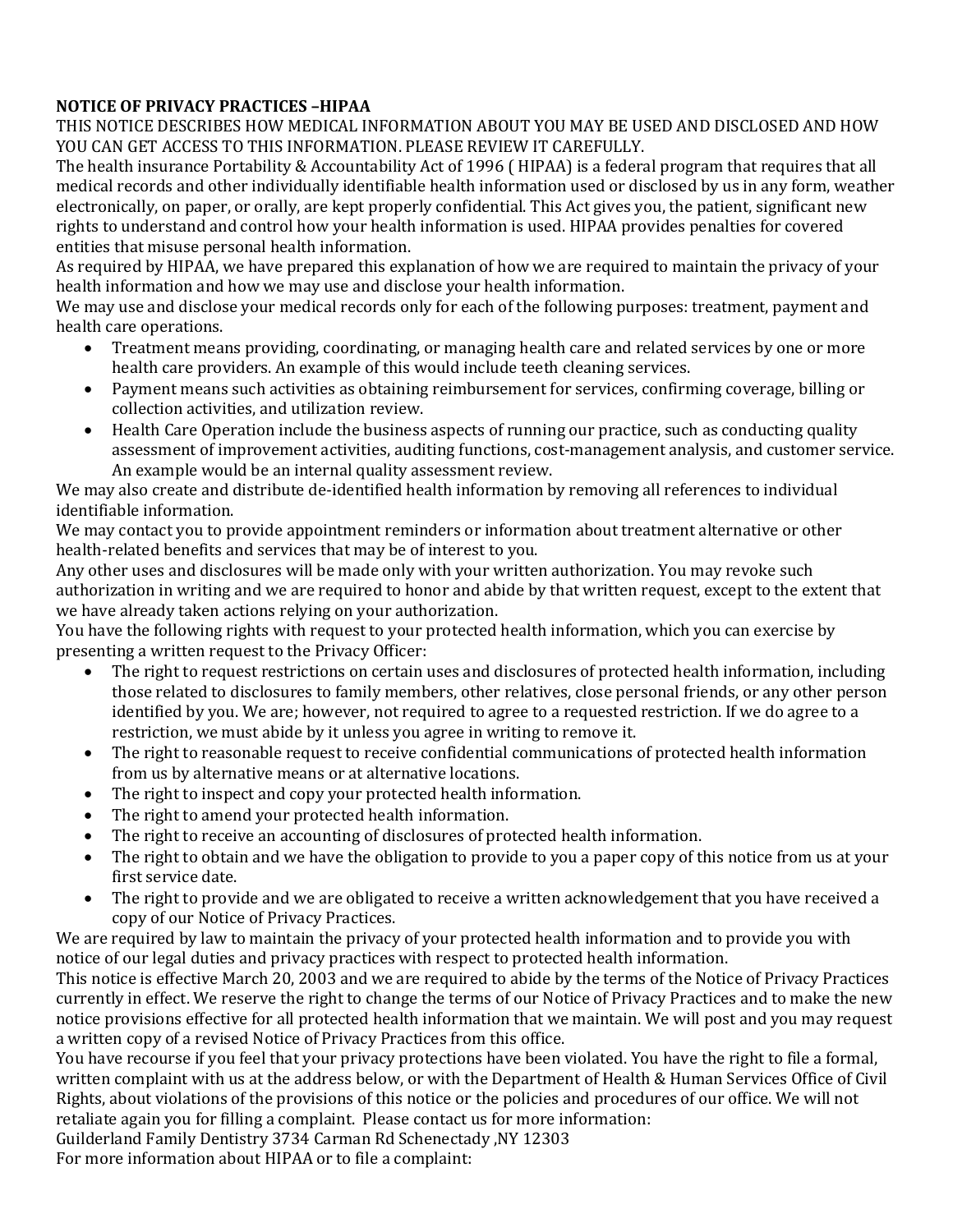# **NOTICE OF PRIVACY PRACTICES –HIPAA**

THIS NOTICE DESCRIBES HOW MEDICAL INFORMATION ABOUT YOU MAY BE USED AND DISCLOSED AND HOW YOU CAN GET ACCESS TO THIS INFORMATION. PLEASE REVIEW IT CAREFULLY.

The health insurance Portability & Accountability Act of 1996 ( HIPAA) is a federal program that requires that all medical records and other individually identifiable health information used or disclosed by us in any form, weather electronically, on paper, or orally, are kept properly confidential. This Act gives you, the patient, significant new rights to understand and control how your health information is used. HIPAA provides penalties for covered entities that misuse personal health information.

As required by HIPAA, we have prepared this explanation of how we are required to maintain the privacy of your health information and how we may use and disclose your health information.

We may use and disclose your medical records only for each of the following purposes: treatment, payment and health care operations.

- Treatment means providing, coordinating, or managing health care and related services by one or more health care providers. An example of this would include teeth cleaning services.
- Payment means such activities as obtaining reimbursement for services, confirming coverage, billing or collection activities, and utilization review.
- Health Care Operation include the business aspects of running our practice, such as conducting quality assessment of improvement activities, auditing functions, cost-management analysis, and customer service. An example would be an internal quality assessment review.

We may also create and distribute de-identified health information by removing all references to individual identifiable information.

We may contact you to provide appointment reminders or information about treatment alternative or other health-related benefits and services that may be of interest to you.

Any other uses and disclosures will be made only with your written authorization. You may revoke such authorization in writing and we are required to honor and abide by that written request, except to the extent that we have already taken actions relying on your authorization.

You have the following rights with request to your protected health information, which you can exercise by presenting a written request to the Privacy Officer:

- The right to request restrictions on certain uses and disclosures of protected health information, including those related to disclosures to family members, other relatives, close personal friends, or any other person identified by you. We are; however, not required to agree to a requested restriction. If we do agree to a restriction, we must abide by it unless you agree in writing to remove it.
- The right to reasonable request to receive confidential communications of protected health information from us by alternative means or at alternative locations.
- The right to inspect and copy your protected health information.
- The right to amend your protected health information.
- The right to receive an accounting of disclosures of protected health information.
- The right to obtain and we have the obligation to provide to you a paper copy of this notice from us at your first service date.
- The right to provide and we are obligated to receive a written acknowledgement that you have received a copy of our Notice of Privacy Practices.

We are required by law to maintain the privacy of your protected health information and to provide you with notice of our legal duties and privacy practices with respect to protected health information.

This notice is effective March 20, 2003 and we are required to abide by the terms of the Notice of Privacy Practices currently in effect. We reserve the right to change the terms of our Notice of Privacy Practices and to make the new notice provisions effective for all protected health information that we maintain. We will post and you may request a written copy of a revised Notice of Privacy Practices from this office.

You have recourse if you feel that your privacy protections have been violated. You have the right to file a formal, written complaint with us at the address below, or with the Department of Health & Human Services Office of Civil Rights, about violations of the provisions of this notice or the policies and procedures of our office. We will not retaliate again you for filling a complaint. Please contact us for more information:

Guilderland Family Dentistry 3734 Carman Rd Schenectady ,NY 12303 For more information about HIPAA or to file a complaint: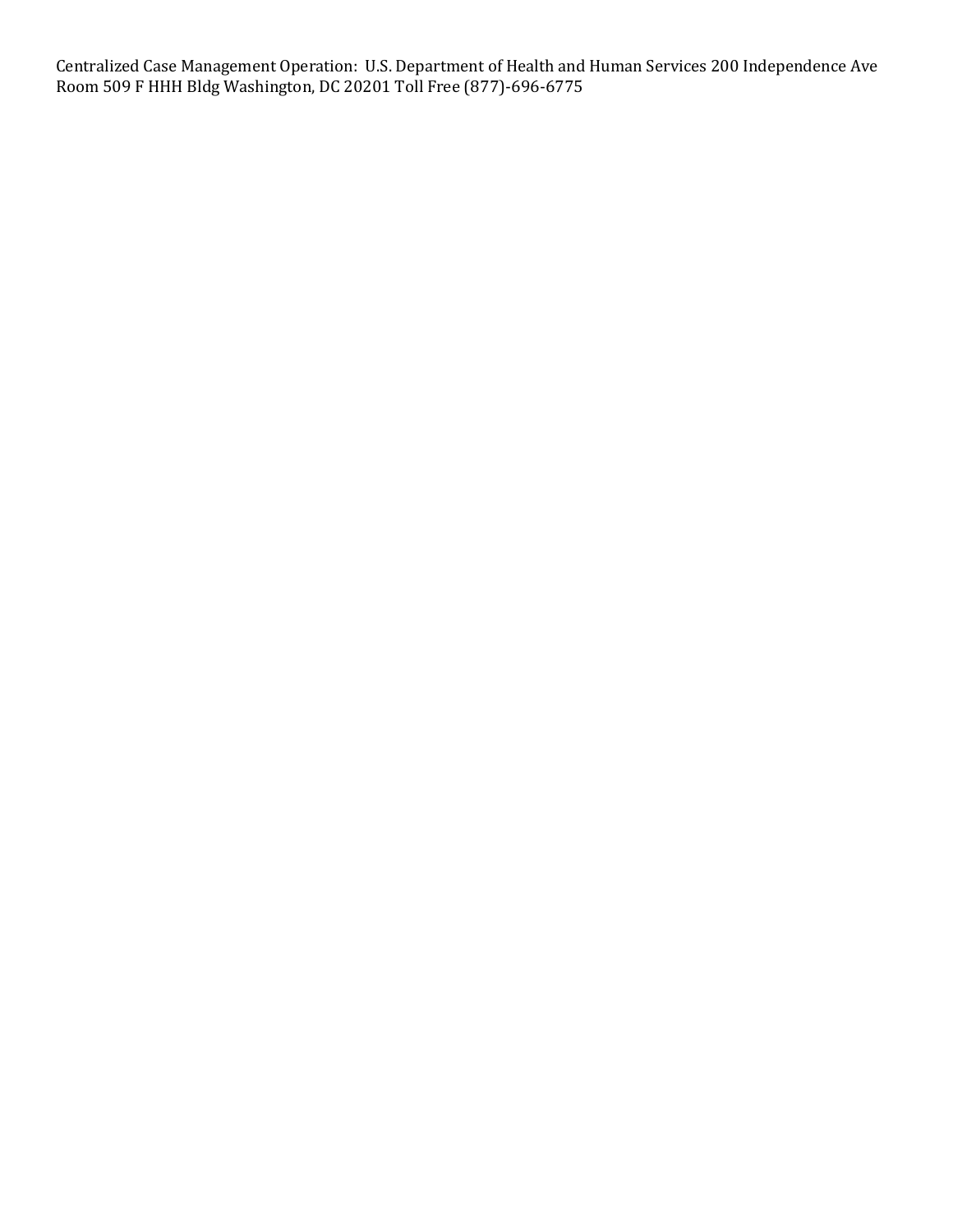Centralized Case Management Operation: U.S. Department of Health and Human Services 200 Independence Ave Room 509 F HHH Bldg Washington, DC 20201 Toll Free (877)-696-6775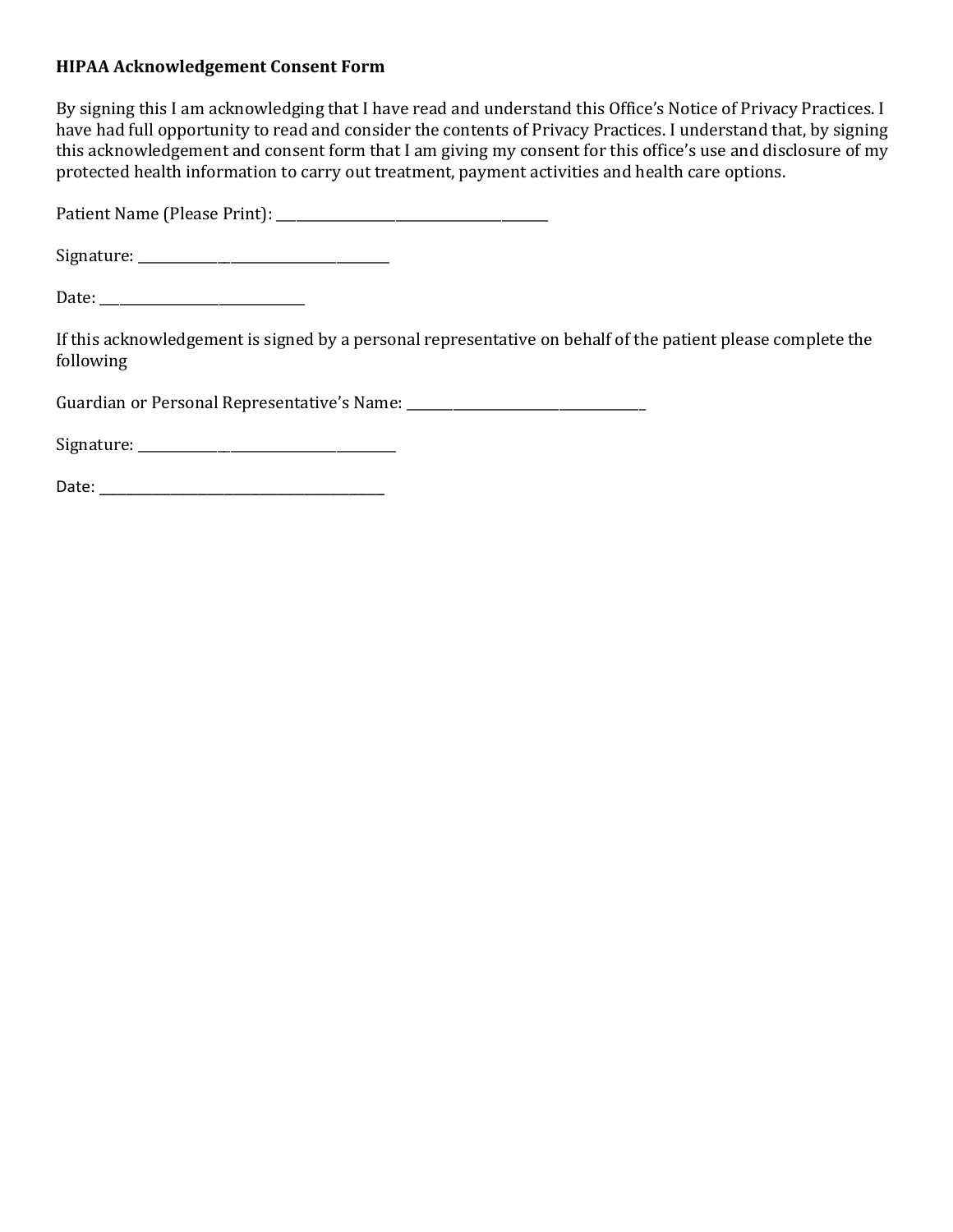# **HIPAA Acknowledgement Consent Form**

By signing this I am acknowledging that I have read and understand this Office's Notice of Privacy Practices. I have had full opportunity to read and consider the contents of Privacy Practices. I understand that, by signing this acknowledgement and consent form that I am giving my consent for this office's use and disclosure of my protected health information to carry out treatment, payment activities and health care options.

Patient Name (Please Print): \_\_\_\_\_\_\_\_\_\_\_\_\_\_\_\_\_\_\_\_\_\_\_\_\_\_\_\_\_\_\_\_\_\_\_\_\_\_\_\_\_

 $Signature:$ 

Date: \_\_\_\_\_\_\_\_\_\_\_\_\_\_\_\_\_\_\_\_\_\_\_\_\_\_\_\_\_\_\_

If this acknowledgement is signed by a personal representative on behalf of the patient please complete the following

Guardian or Personal Representative's Name:

 $Signature:$ 

Date: